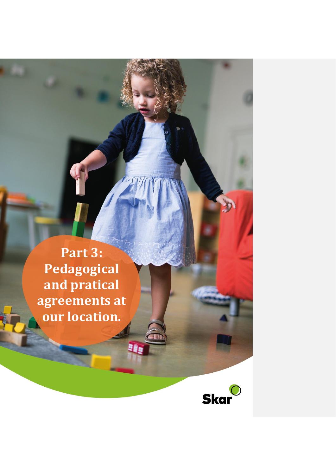**Part 3: Pedagogical and pratical agreements at our location.**

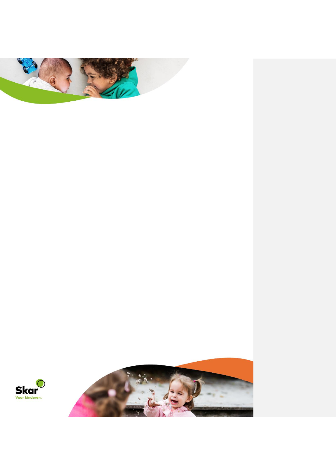



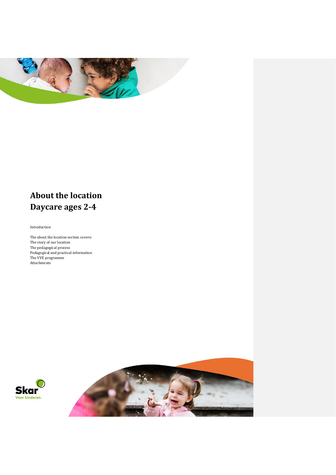

# **About the location Daycare ages 2-4**

Introduction

The about the location section covers: The story of our location The pedagogical process Pedagogical and practical information The VVE programme **Attachments** 



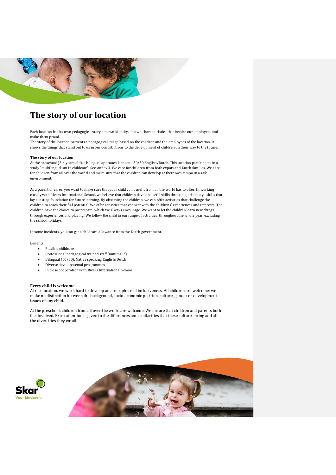

# **The story of our location**

Each location has its own pedagogical story, its own identity, its own characteristics that inspire our employees and make them proud.

The story of the location presents a pedagogical image based on the children and the employees of the location. It shows the things that stand out to us in our contributions to the development of children on their way to the future.

#### **The story of our location**

At the preschool (2-4 years old), a bilingual approach is taken - 50/50 English/Dutch. This location participates in a study "multilingualism in childcare". See Annex 3. We care for children from both expats and Dutch families. We care for children from all over the world and make sure that the children can develop at their own tempo in a safe environment.

As a parent or carer, you want to make sure that your child can benefit from all the world has to offer. In working closely with Rivers International School, we believe that children develop useful skills through guided play - skills that lay a lasting foundation for future learning. By observing the children, we can offer activities that challenge the children to reach their full potential. We offer activities that connect with the childrens' experiences and interests. The children have the choice to participate, which we always encourage. We want to let the children learn new things through experiences and playing! We follow the child in our range of activities, throughout the whole year, excluding the school holidays.

In some incidents, you can get a childcare allowance from the Dutch government.

#### Benefits:

- Flexible childcare
- Professional pedagogical trained staff (minimal 2)
- Bilingual (50/50). Native speaking English/Dutch
- Diverse developmental programmes
- In close cooperation with Rivers International School

#### **Every child is welcome**

At our location, we work hard to develop an atmosphere of inclusiveness. All children are welcome; we make no distinction between the background, socio-economic position, culture, gender or development issues of any child.

At the preschool, children from all over the world are welcome. We ensure that children and parents both feel involved. Extra attention is given to the differences and similarities that these cultures bring and all the diversities they entail.



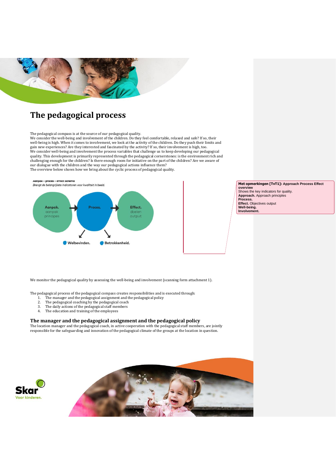

## **The pedagogical process**

The pedagogical compass is at the source of our pedagogical quality.

We consider the well-being and involvement of the children. Do they feel comfortable, relaxed and safe? If so, their well-being is high. When it comes to involvement, we look at the activity of the children. Do they push their limits and gain new experiences? Are they interested and fascinated by the activity? If so, their involvement is high, too.<br>We consider well-being and involvement the process variables that challenge us to keep developing our pedagog quality. This development is primarily represented through the pedagogical cornerstones: is the environment rich and challenging enough for the children? Is there enough room for initiative on the part of the children? Are we aware of our dialogue with the children and the way our pedagogical actions influence them? The overview below shows how we bring about the cyclic process of pedagogical quality.



### **Met opmerkingen [TvT1]: Approach Process Effect overview** Shows the key indicators for quality. **Approach.** Approach principles **Process. Effect.** Objectives output **Well-being. Involvement.**

We monitor the pedagogical quality by assessing the well-being and involvement (scanning form attachment 1).

The pedagogical process of the pedagogical compass creates responsibilities and is executed through:

- 1. The manager and the pedagogical assignment and the pedagogical policy<br>2. The pedagogical coaching by the pedagogical coach
- 2. The pedagogical coaching by the pedagogical coach<br>3. The daily actions of the pedagogical staff members
- The daily actions of the pedagogical staff members
- 4. The education and training of the employees

#### **The manager and the pedagogical assignment and the pedagogical policy**

The location manager and the pedagogical coach, in active cooperation with the pedagogical staff members, are jointly responsible for the safeguarding and innovation of the pedagogical climate of the groups at the location in question.



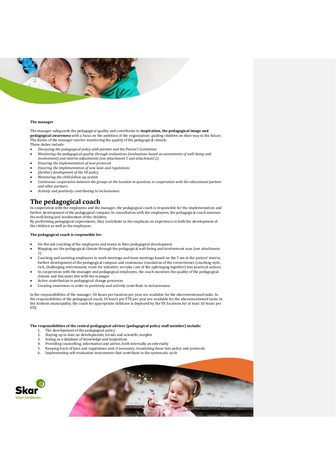

#### **The manager**

The manager safeguards the pedagogical quality and contributes to **inspiration, the pedagogical image and pedagogical awareness** with a focus on the ambition of the organisation: guiding children on their way to the future. The duties of the manager involve monitoring the quality of the pedagogical climate. These duties include:

- *Discussing the pedagogical policy with parents and the Parent's Committee*
- *Monitoring the pedagogical quality through evaluations (evaluations based on assessments of well-being and involvement) and interim adjustments (see attachment 1 and attachment 2).*
- *Ensuring the implementation of new protocols*
- *Ensuring the implementation of new laws and regulations*
- *(further) development of the VE policy*
- *Monitoring the child follow-up system*
- *Continuous cooperation between the groups at the location in question, in cooperation with the educational partner and other partners*
- *Actively and positively contributing to inclusiveness*

### **The pedagogical coach**

In cooperation with the employees and the manager, the pedagogical coach is responsible for the implementation and<br>further development of the pedagogical compass. In consultation with the employees, the pedagogical coach a the well-being and involvement of the children.

By performing pedagogical experiments, they contribute to the emphasis on experience in both the development of the children as well as the employees.

#### **The pedagogical coach is responsible for:**

- On-the-job coaching of the employees and teams in their pedagogical development
- Mapping out the pedagogical climate through the pedagogical well-being and involvement scan (see attachment 2)
- Coaching and assisting employees in work meetings and team meetings based on the 'I am in the picture' matrix, further development of the pedagogical compass and continuous translation of the cornerstones (coaching style, rich, challenging environment, room for initiative, we take care of the upbringing together) into practical actions
- In cooperation with the manager and pedagogical employees, the coach monitors the quality of the pedagogical
- climate and discusses this with the manager
- Active contribution to pedagogical change processes
- Creating awareness in order to positively and actively contribute to inclusiveness

In the responsibilities of the manager, 50 hours per location per year are available for the abovementioned tasks. In the responsibilities of the pedagogical coach, 10 hours per FTE per year are available for the abovementioned tasks. In the Arnhem municipality, the coach for appropriate childcare is deployed by the VE locations for at least 10 hours per FTE.

#### **The responsibilities of the central pedagogical advisor (pedagogical policy staff member) include:**

- 1. The development of the pedagogical policy<br>
The developments trends
- 2. Staying up to date on developments, trends and scientific insights<br>3. Acting as a database of knowledge and inspiration
- 3. Acting as a database of knowledge and inspiration<br>4. Providing counselling, information and advice, bot
- 4. Providing counselling, information and advice, both internally an externally<br>5. Keeping track of laws and regulations and, if necessary, translating these int
- 5. Keeping track of laws and regulations and, if necessary, translating these into policy and protocols
- Implementing self-evaluation instruments that contribute to the systematic cycle



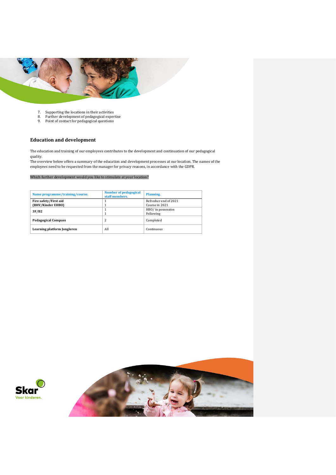

- 7. Supporting the locations in their activities<br>8. Further development of pedagogical exper-
- Further development of pedagogical expertise
- 9. Point of contact for pedagogical questions

### **Education and development**

The education and training of our employees contributes to the development and continuation of our pedagogical quality.

The overview below offers a summary of the education and development processes at our location. The names of the employees need to be requested from the manager for privacy reasons, in accordance with the GDPR.

#### Which further development would you like to stimulate at your location?

| Name programme/training/course.            | <b>Number of pedagogical</b><br>staff members. | Planning.                               |  |
|--------------------------------------------|------------------------------------------------|-----------------------------------------|--|
| Fire safety/First aid<br>(BHV/Kinder EHBO) |                                                | Refresher end of 2021<br>Course in 2021 |  |
| 3F/B2                                      |                                                | HBO/ in possession<br>Following         |  |
| <b>Pedagogical Compass</b>                 | 2                                              | Completed                               |  |
| Learning platform Jongleren                | All                                            | Continuous                              |  |



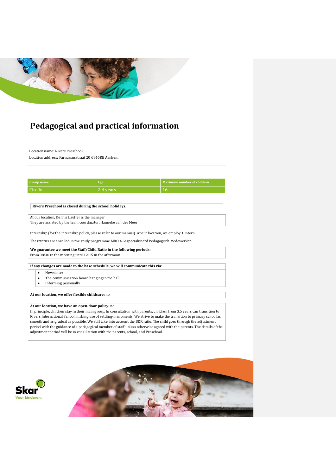

# **Pedagogical and practical information**

Location name: Rivers Preschool

Location address: Parnassusstraat 20 6846RB Arnhem

| Group name. | Age.        | <b>Maximum number of children.</b> |
|-------------|-------------|------------------------------------|
| Firefly     | $2-4$ years |                                    |

#### **Rivers Preschool is closed during the school holidays.**

At our location, Dennis Lauffer is the manager

They are assisted by the team coordinator, Hanneke van der Meer

Internship (for the internship policy, please refer to our manual). At our location, we employ 1 intern.

The interns are enrolled in the study programme MBO 4 Gespecialiseerd Pedagogisch Medewerker.

#### **We guarantee we meet the Staff/Child Ratio in the following periods:** From 08:30 in the morning until 12:15 in the afternoon

#### **If any changes are made to the base schedule, we will communicate this via:**

- Newsletter
- The communication board hanging in the hall
- Informing personally
- **At our location, we offer flexible childcare:** no

#### **At our location, we have an open-door policy:** no

In principle, children stay in their main group. In consultation with parents, children from 3.5 years can transition to Rivers International School, making use of settling-in moments. We strive to make the transition to primary school as smooth and as gradual as possible. We still take into account the BKR ratio. The child goes through the adjustment period with the guidance of a pedagogical member of staff unless otherwise agreed with the parents. The details of the adjustment period will be in consultation with the parents, school, and Preschool.



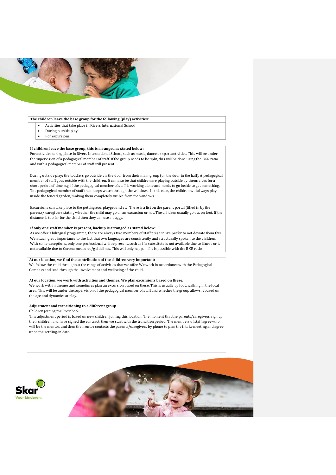

#### **The children leave the base group for the following (play) activities:**

- Activities that take place in Rivers International School
- During outside play
- For excursions

#### **If children leave the base group, this is arranged as stated below:**

For activities taking place in Rivers International School, such as music, dance or sport activities. This will be under the supervision of a pedagogical member of staff. If the group needs to be split, this will be done using the BKR ratio and with a pedagogical member of staff still present.

During outside play: the toddlers go outside via the door from their main group (or the door in the hall). A pedagogical member of staff goes outside with the children. It can also be that children are playing outside by themselves for a short period of time, e.g. if the pedagogical member of staff is working alone and needs to go inside to get something. The pedagogical member of staff then keeps watch through the windows. In this case, the children will always play inside the fenced garden, making them completely visible from the windows.

Excursions can take place to the petting zoo, playground etc. There is a list on the parent portal (filled in by the parents/ caregivers stating whether the child may go on an excursion or not. The children usually go out on foot. If the distance is too far for the child then they can use a buggy.

#### **If only one staff member is present, backup is arranged as stated below:**

As we offer a bilingual programme, there are always two members of staff present. We prefer to not deviate from this. We attach great importance to the fact that two languages are consistently and structurally spoken to the children. With some exceptions, only one professional will be present, such as if a substitute is not available due to illness or is not available due to Corona measures/guidelines. This will only happen if it is possible with the BKR ratio.

#### **At our location, we find the contribution of the children very important:**

We follow the child throughout the range of activities that we offer. We work in accordance with the Pedagogical Compass and lead through the involvement and wellbeing of the child.

#### **At our location, we work with activities and themes. We plan excursions based on these.**

We work within themes and sometimes plan an excursion based on these. This is usually by foot, walking in the local area. This will be under the supervision of the pedagogical member of staff and whether the group allows it based on the age and dynamics at play.

#### **Adjustment and transitioning to a different group**

#### Children joining the Preschool:

This adjustment period is based on new children joining this location. The moment that the parents/caregivers sign up their children and have signed the contract, then we start with the transition period. The members of staff agree who will be the mentor, and then the mentor contacts the parents/caregivers by phone to plan the intake meeting and agree upon the settling-in date.



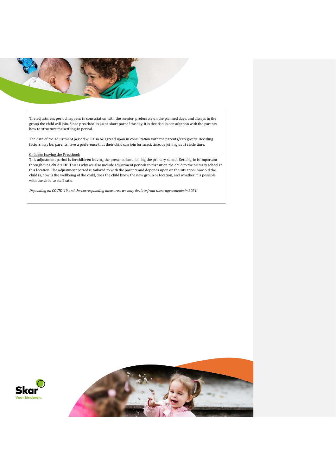

The adjustment period happens in consultation with the mentor, preferably on the planned days, and always in the group the child will join. Since preschool is just a short part of the day, it is decided in consultation with the parents how to structure the settling-in period.

The date of the adjustment period will also be agreed upon in consultation with the parents/caregivers. Deciding factors may be: parents have a preference that their child can join for snack time, or joining us at circle time.

#### Children leaving the Preschool:

This adjustment period is for children leaving the preschool and joining the primary school. Settling-in is important throughout a child's life. This is why we also include adjustment periods to transition the child to the primary school in this location. The adjustment period is tailored to with the parents and depends upon on the situation: how old the child is, how is the wellbeing of the child, does the child know the new group or location, and whether it is possible with the child to staff ratio.

*Depending on COVID-19 and the corresponding measures, we may deviate from these agreements in 2021.*



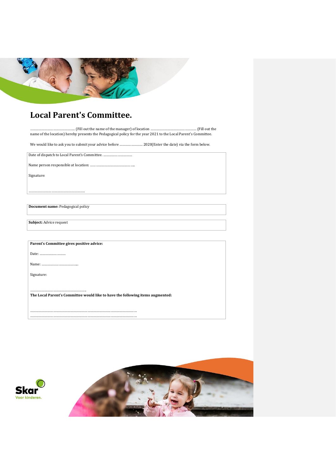

## **Local Parent's Committee.**

……………………………………….. (Fill out the name of the manager) of location ………………………………………… (Fill out the name of the location) hereby presents the Pedagogical policy for the year 2021 to the Local Parent's Committee.

We would like to ask you to submit your advice before …………………… 2020(Enter the date) via the form below.

Date of dispatch to Local Parent's Committee. …………………………

Name person responsible at location: ………………………………………..

Signature:

**Document name:** Pedagogical policy

…………………………………………………..

**Subject:** Advice request

**Parent's Committee gives positive advice:**

Date: ………………………

Name: ………………………………...

…………………………………………………..

Signature:

**The Local Parent's Committee would like to have the following items augmented:**

………………………………………………………………………………………………… …………………………………………………………………………………………………



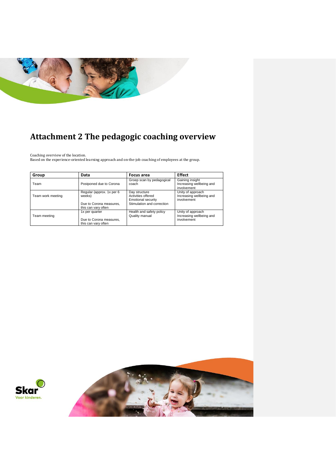

# **Attachment 2 The pedagogic coaching overview**

Coaching overview of the location. Based on the experience-oriented learning approach and on-the-job coaching of employees at the group.

| Group             | Data                                                                                  | Focus area                                                                                     | <b>Effect</b>                                                |
|-------------------|---------------------------------------------------------------------------------------|------------------------------------------------------------------------------------------------|--------------------------------------------------------------|
| Team              | Postponed due to Corona                                                               | Groep scan by pedagogical<br>coach                                                             | Gaining insight<br>Increasing wellbeing and<br>involvement   |
| Team work meeting | Regular (approx. 1x per 6<br>weeks)<br>Due to Corona measures.<br>this can vary often | Day structure<br>Activities offered<br><b>Emotional security</b><br>Stimulation and correction | Unity of approach<br>Increasing wellbeing and<br>involvement |
| Team meeting      | 1x per quarter<br>Due to Corona measures,<br>this can vary often                      | Health and safety policy<br>Quality manual                                                     | Unity of approach<br>Increasing wellbeing and<br>involvement |